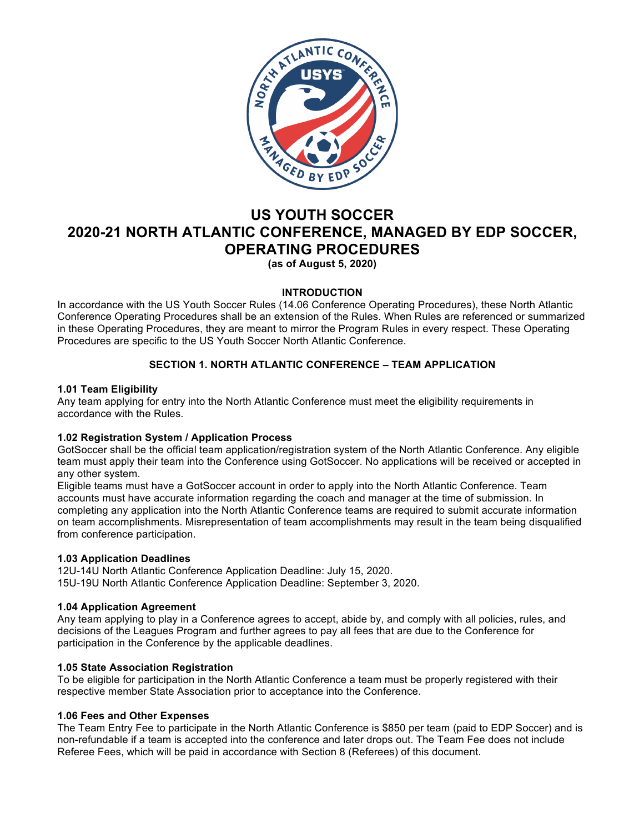

# **US YOUTH SOCCER 2020-21 NORTH ATLANTIC CONFERENCE, MANAGED BY EDP SOCCER, OPERATING PROCEDURES**

**(as of August 5, 2020)**

# **INTRODUCTION**

In accordance with the US Youth Soccer Rules (14.06 Conference Operating Procedures), these North Atlantic Conference Operating Procedures shall be an extension of the Rules. When Rules are referenced or summarized in these Operating Procedures, they are meant to mirror the Program Rules in every respect. These Operating Procedures are specific to the US Youth Soccer North Atlantic Conference.

# **SECTION 1. NORTH ATLANTIC CONFERENCE – TEAM APPLICATION**

## **1.01 Team Eligibility**

Any team applying for entry into the North Atlantic Conference must meet the eligibility requirements in accordance with the Rules.

# **1.02 Registration System / Application Process**

GotSoccer shall be the official team application/registration system of the North Atlantic Conference. Any eligible team must apply their team into the Conference using GotSoccer. No applications will be received or accepted in any other system.

Eligible teams must have a GotSoccer account in order to apply into the North Atlantic Conference. Team accounts must have accurate information regarding the coach and manager at the time of submission. In completing any application into the North Atlantic Conference teams are required to submit accurate information on team accomplishments. Misrepresentation of team accomplishments may result in the team being disqualified from conference participation.

## **1.03 Application Deadlines**

12U-14U North Atlantic Conference Application Deadline: July 15, 2020. 15U-19U North Atlantic Conference Application Deadline: September 3, 2020.

# **1.04 Application Agreement**

Any team applying to play in a Conference agrees to accept, abide by, and comply with all policies, rules, and decisions of the Leagues Program and further agrees to pay all fees that are due to the Conference for participation in the Conference by the applicable deadlines.

## **1.05 State Association Registration**

To be eligible for participation in the North Atlantic Conference a team must be properly registered with their respective member State Association prior to acceptance into the Conference.

## **1.06 Fees and Other Expenses**

The Team Entry Fee to participate in the North Atlantic Conference is \$850 per team (paid to EDP Soccer) and is non-refundable if a team is accepted into the conference and later drops out. The Team Fee does not include Referee Fees, which will be paid in accordance with Section 8 (Referees) of this document.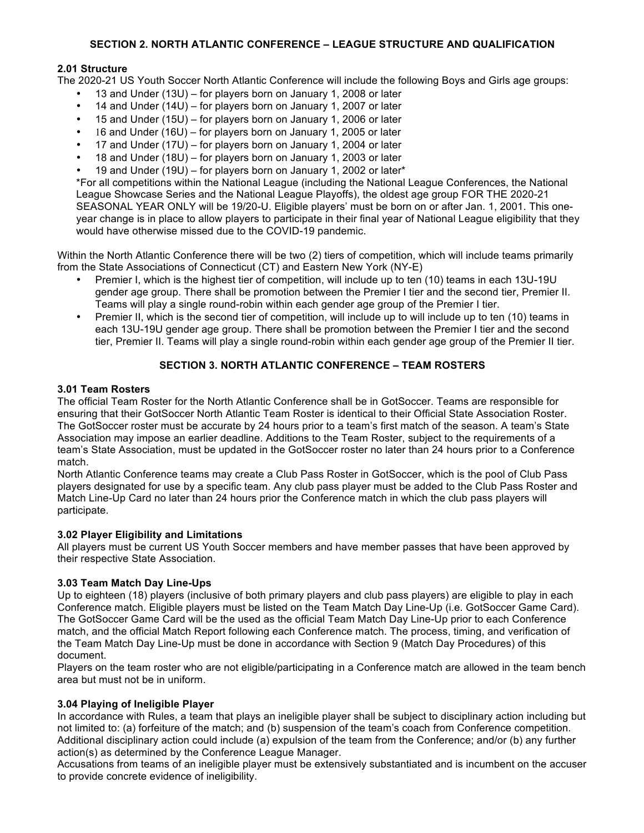# **SECTION 2. NORTH ATLANTIC CONFERENCE – LEAGUE STRUCTURE AND QUALIFICATION**

# **2.01 Structure**

The 2020-21 US Youth Soccer North Atlantic Conference will include the following Boys and Girls age groups:

- 13 and Under (13U) for players born on January 1, 2008 or later
- 14 and Under (14U) for players born on January 1, 2007 or later
- 15 and Under (15U) for players born on January 1, 2006 or later
- 16 and Under (16U) for players born on January 1, 2005 or later
- 17 and Under (17U) for players born on January 1, 2004 or later
- 18 and Under (18U) for players born on January 1, 2003 or later
- 19 and Under (19U) for players born on January 1, 2002 or later\*

\*For all competitions within the National League (including the National League Conferences, the National League Showcase Series and the National League Playoffs), the oldest age group FOR THE 2020-21 SEASONAL YEAR ONLY will be 19/20-U. Eligible players' must be born on or after Jan. 1, 2001. This oneyear change is in place to allow players to participate in their final year of National League eligibility that they would have otherwise missed due to the COVID-19 pandemic.

Within the North Atlantic Conference there will be two (2) tiers of competition, which will include teams primarily from the State Associations of Connecticut (CT) and Eastern New York (NY-E)

- Premier I, which is the highest tier of competition, will include up to ten (10) teams in each 13U-19U gender age group. There shall be promotion between the Premier I tier and the second tier, Premier II. Teams will play a single round-robin within each gender age group of the Premier I tier.
- Premier II, which is the second tier of competition, will include up to will include up to ten (10) teams in each 13U-19U gender age group. There shall be promotion between the Premier I tier and the second tier, Premier II. Teams will play a single round-robin within each gender age group of the Premier II tier.

# **SECTION 3. NORTH ATLANTIC CONFERENCE – TEAM ROSTERS**

## **3.01 Team Rosters**

The official Team Roster for the North Atlantic Conference shall be in GotSoccer. Teams are responsible for ensuring that their GotSoccer North Atlantic Team Roster is identical to their Official State Association Roster. The GotSoccer roster must be accurate by 24 hours prior to a team's first match of the season. A team's State Association may impose an earlier deadline. Additions to the Team Roster, subject to the requirements of a team's State Association, must be updated in the GotSoccer roster no later than 24 hours prior to a Conference match.

North Atlantic Conference teams may create a Club Pass Roster in GotSoccer, which is the pool of Club Pass players designated for use by a specific team. Any club pass player must be added to the Club Pass Roster and Match Line-Up Card no later than 24 hours prior the Conference match in which the club pass players will participate.

## **3.02 Player Eligibility and Limitations**

All players must be current US Youth Soccer members and have member passes that have been approved by their respective State Association.

## **3.03 Team Match Day Line-Ups**

Up to eighteen (18) players (inclusive of both primary players and club pass players) are eligible to play in each Conference match. Eligible players must be listed on the Team Match Day Line-Up (i.e. GotSoccer Game Card). The GotSoccer Game Card will be the used as the official Team Match Day Line-Up prior to each Conference match, and the official Match Report following each Conference match. The process, timing, and verification of the Team Match Day Line-Up must be done in accordance with Section 9 (Match Day Procedures) of this document.

Players on the team roster who are not eligible/participating in a Conference match are allowed in the team bench area but must not be in uniform.

## **3.04 Playing of Ineligible Player**

In accordance with Rules, a team that plays an ineligible player shall be subject to disciplinary action including but not limited to: (a) forfeiture of the match; and (b) suspension of the team's coach from Conference competition. Additional disciplinary action could include (a) expulsion of the team from the Conference; and/or (b) any further action(s) as determined by the Conference League Manager.

Accusations from teams of an ineligible player must be extensively substantiated and is incumbent on the accuser to provide concrete evidence of ineligibility.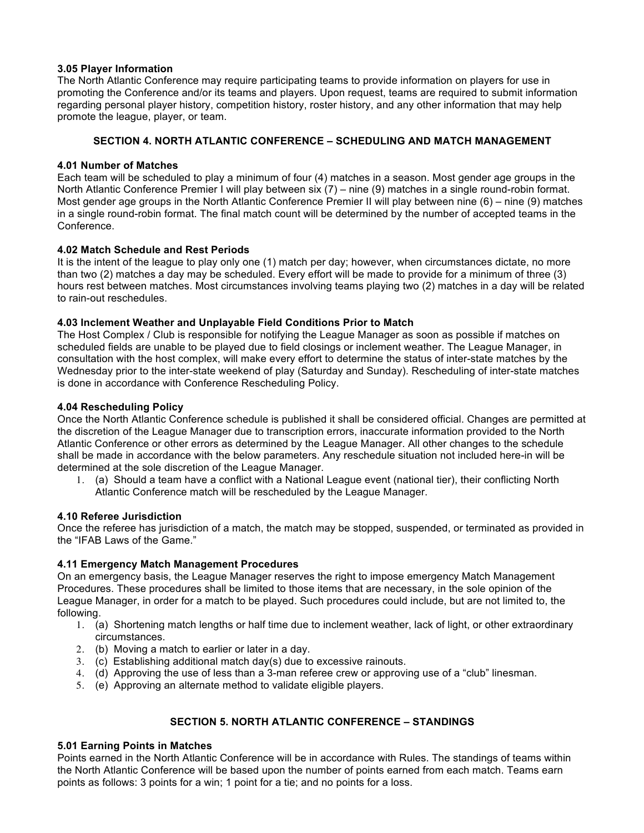## **3.05 Player Information**

The North Atlantic Conference may require participating teams to provide information on players for use in promoting the Conference and/or its teams and players. Upon request, teams are required to submit information regarding personal player history, competition history, roster history, and any other information that may help promote the league, player, or team.

# **SECTION 4. NORTH ATLANTIC CONFERENCE – SCHEDULING AND MATCH MANAGEMENT**

## **4.01 Number of Matches**

Each team will be scheduled to play a minimum of four (4) matches in a season. Most gender age groups in the North Atlantic Conference Premier I will play between six (7) – nine (9) matches in a single round-robin format. Most gender age groups in the North Atlantic Conference Premier II will play between nine (6) – nine (9) matches in a single round-robin format. The final match count will be determined by the number of accepted teams in the Conference.

## **4.02 Match Schedule and Rest Periods**

It is the intent of the league to play only one (1) match per day; however, when circumstances dictate, no more than two (2) matches a day may be scheduled. Every effort will be made to provide for a minimum of three (3) hours rest between matches. Most circumstances involving teams playing two (2) matches in a day will be related to rain-out reschedules.

## **4.03 Inclement Weather and Unplayable Field Conditions Prior to Match**

The Host Complex / Club is responsible for notifying the League Manager as soon as possible if matches on scheduled fields are unable to be played due to field closings or inclement weather. The League Manager, in consultation with the host complex, will make every effort to determine the status of inter-state matches by the Wednesday prior to the inter-state weekend of play (Saturday and Sunday). Rescheduling of inter-state matches is done in accordance with Conference Rescheduling Policy.

## **4.04 Rescheduling Policy**

Once the North Atlantic Conference schedule is published it shall be considered official. Changes are permitted at the discretion of the League Manager due to transcription errors, inaccurate information provided to the North Atlantic Conference or other errors as determined by the League Manager. All other changes to the schedule shall be made in accordance with the below parameters. Any reschedule situation not included here-in will be determined at the sole discretion of the League Manager.

1. (a) Should a team have a conflict with a National League event (national tier), their conflicting North Atlantic Conference match will be rescheduled by the League Manager.

## **4.10 Referee Jurisdiction**

Once the referee has jurisdiction of a match, the match may be stopped, suspended, or terminated as provided in the "IFAB Laws of the Game."

# **4.11 Emergency Match Management Procedures**

On an emergency basis, the League Manager reserves the right to impose emergency Match Management Procedures. These procedures shall be limited to those items that are necessary, in the sole opinion of the League Manager, in order for a match to be played. Such procedures could include, but are not limited to, the following.

- 1. (a) Shortening match lengths or half time due to inclement weather, lack of light, or other extraordinary circumstances.
- 2. (b) Moving a match to earlier or later in a day.
- 3. (c) Establishing additional match day(s) due to excessive rainouts.
- 4. (d) Approving the use of less than a 3-man referee crew or approving use of a "club" linesman.
- 5. (e) Approving an alternate method to validate eligible players.

# **SECTION 5. NORTH ATLANTIC CONFERENCE – STANDINGS**

## **5.01 Earning Points in Matches**

Points earned in the North Atlantic Conference will be in accordance with Rules. The standings of teams within the North Atlantic Conference will be based upon the number of points earned from each match. Teams earn points as follows: 3 points for a win; 1 point for a tie; and no points for a loss.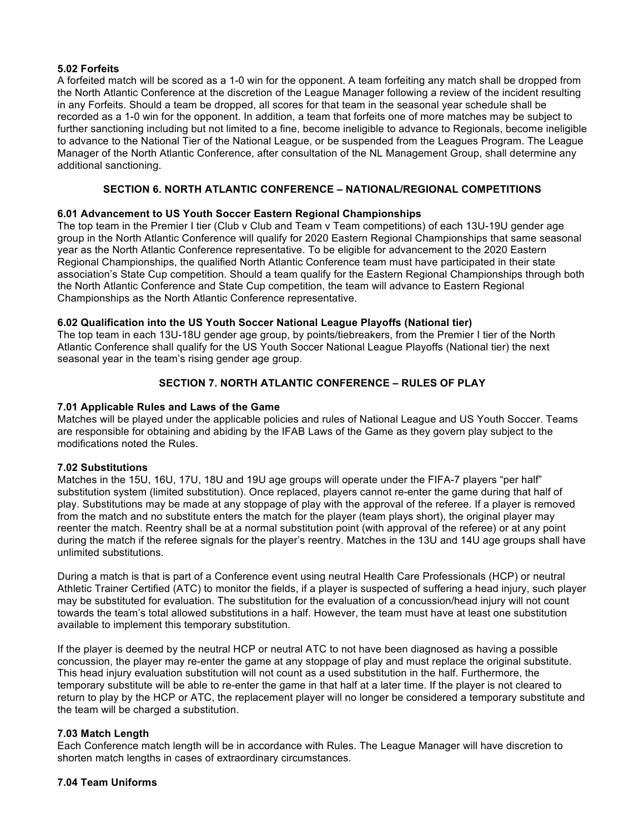# **5.02 Forfeits**

A forfeited match will be scored as a 1-0 win for the opponent. A team forfeiting any match shall be dropped from the North Atlantic Conference at the discretion of the League Manager following a review of the incident resulting in any Forfeits. Should a team be dropped, all scores for that team in the seasonal year schedule shall be recorded as a 1-0 win for the opponent. In addition, a team that forfeits one of more matches may be subject to further sanctioning including but not limited to a fine, become ineligible to advance to Regionals, become ineligible to advance to the National Tier of the National League, or be suspended from the Leagues Program. The League Manager of the North Atlantic Conference, after consultation of the NL Management Group, shall determine any additional sanctioning.

# **SECTION 6. NORTH ATLANTIC CONFERENCE – NATIONAL/REGIONAL COMPETITIONS**

# **6.01 Advancement to US Youth Soccer Eastern Regional Championships**

The top team in the Premier I tier (Club v Club and Team v Team competitions) of each 13U-19U gender age group in the North Atlantic Conference will qualify for 2020 Eastern Regional Championships that same seasonal year as the North Atlantic Conference representative. To be eligible for advancement to the 2020 Eastern Regional Championships, the qualified North Atlantic Conference team must have participated in their state association's State Cup competition. Should a team qualify for the Eastern Regional Championships through both the North Atlantic Conference and State Cup competition, the team will advance to Eastern Regional Championships as the North Atlantic Conference representative.

## **6.02 Qualification into the US Youth Soccer National League Playoffs (National tier)**

The top team in each 13U-18U gender age group, by points/tiebreakers, from the Premier I tier of the North Atlantic Conference shall qualify for the US Youth Soccer National League Playoffs (National tier) the next seasonal year in the team's rising gender age group.

# **SECTION 7. NORTH ATLANTIC CONFERENCE – RULES OF PLAY**

## **7.01 Applicable Rules and Laws of the Game**

Matches will be played under the applicable policies and rules of National League and US Youth Soccer. Teams are responsible for obtaining and abiding by the IFAB Laws of the Game as they govern play subject to the modifications noted the Rules.

## **7.02 Substitutions**

Matches in the 15U, 16U, 17U, 18U and 19U age groups will operate under the FIFA-7 players "per half" substitution system (limited substitution). Once replaced, players cannot re-enter the game during that half of play. Substitutions may be made at any stoppage of play with the approval of the referee. If a player is removed from the match and no substitute enters the match for the player (team plays short), the original player may reenter the match. Reentry shall be at a normal substitution point (with approval of the referee) or at any point during the match if the referee signals for the player's reentry. Matches in the 13U and 14U age groups shall have unlimited substitutions.

During a match is that is part of a Conference event using neutral Health Care Professionals (HCP) or neutral Athletic Trainer Certified (ATC) to monitor the fields, if a player is suspected of suffering a head injury, such player may be substituted for evaluation. The substitution for the evaluation of a concussion/head injury will not count towards the team's total allowed substitutions in a half. However, the team must have at least one substitution available to implement this temporary substitution.

If the player is deemed by the neutral HCP or neutral ATC to not have been diagnosed as having a possible concussion, the player may re-enter the game at any stoppage of play and must replace the original substitute. This head injury evaluation substitution will not count as a used substitution in the half. Furthermore, the temporary substitute will be able to re-enter the game in that half at a later time. If the player is not cleared to return to play by the HCP or ATC, the replacement player will no longer be considered a temporary substitute and the team will be charged a substitution.

# **7.03 Match Length**

Each Conference match length will be in accordance with Rules. The League Manager will have discretion to shorten match lengths in cases of extraordinary circumstances.

## **7.04 Team Uniforms**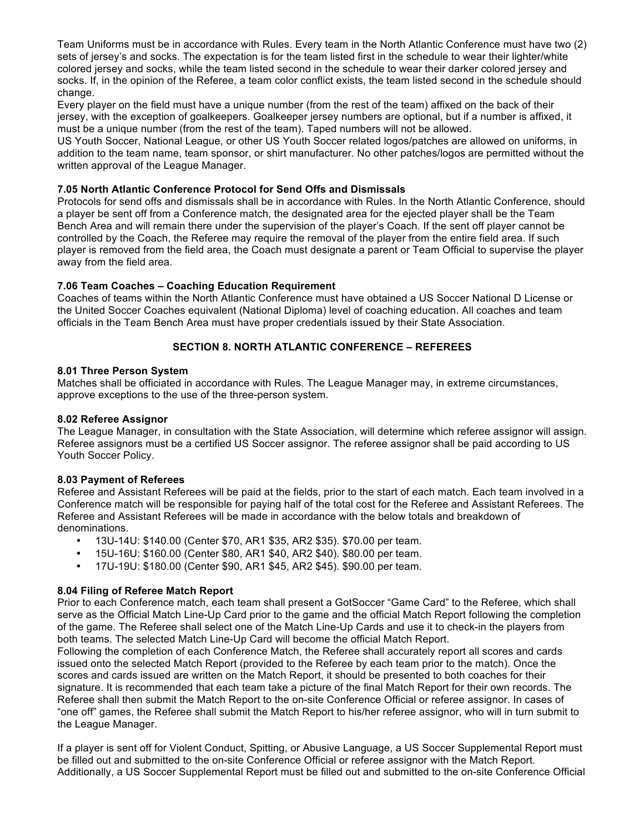Team Uniforms must be in accordance with Rules. Every team in the North Atlantic Conference must have two (2) sets of jersey's and socks. The expectation is for the team listed first in the schedule to wear their lighter/white colored jersey and socks, while the team listed second in the schedule to wear their darker colored jersey and socks. If, in the opinion of the Referee, a team color conflict exists, the team listed second in the schedule should change.

Every player on the field must have a unique number (from the rest of the team) affixed on the back of their jersey, with the exception of goalkeepers. Goalkeeper jersey numbers are optional, but if a number is affixed, it must be a unique number (from the rest of the team). Taped numbers will not be allowed.

US Youth Soccer, National League, or other US Youth Soccer related logos/patches are allowed on uniforms, in addition to the team name, team sponsor, or shirt manufacturer. No other patches/logos are permitted without the written approval of the League Manager.

## **7.05 North Atlantic Conference Protocol for Send Offs and Dismissals**

Protocols for send offs and dismissals shall be in accordance with Rules. In the North Atlantic Conference, should a player be sent off from a Conference match, the designated area for the ejected player shall be the Team Bench Area and will remain there under the supervision of the player's Coach. If the sent off player cannot be controlled by the Coach, the Referee may require the removal of the player from the entire field area. If such player is removed from the field area, the Coach must designate a parent or Team Official to supervise the player away from the field area.

# **7.06 Team Coaches – Coaching Education Requirement**

Coaches of teams within the North Atlantic Conference must have obtained a US Soccer National D License or the United Soccer Coaches equivalent (National Diploma) level of coaching education. All coaches and team officials in the Team Bench Area must have proper credentials issued by their State Association.

# **SECTION 8. NORTH ATLANTIC CONFERENCE – REFEREES**

## **8.01 Three Person System**

Matches shall be officiated in accordance with Rules. The League Manager may, in extreme circumstances, approve exceptions to the use of the three-person system.

## **8.02 Referee Assignor**

The League Manager, in consultation with the State Association, will determine which referee assignor will assign. Referee assignors must be a certified US Soccer assignor. The referee assignor shall be paid according to US Youth Soccer Policy.

## **8.03 Payment of Referees**

Referee and Assistant Referees will be paid at the fields, prior to the start of each match. Each team involved in a Conference match will be responsible for paying half of the total cost for the Referee and Assistant Referees. The Referee and Assistant Referees will be made in accordance with the below totals and breakdown of denominations.

- 13U-14U: \$140.00 (Center \$70, AR1 \$35, AR2 \$35). \$70.00 per team.
- 15U-16U: \$160.00 (Center \$80, AR1 \$40, AR2 \$40). \$80.00 per team.
- 17U-19U: \$180.00 (Center \$90, AR1 \$45, AR2 \$45). \$90.00 per team.

## **8.04 Filing of Referee Match Report**

Prior to each Conference match, each team shall present a GotSoccer "Game Card" to the Referee, which shall serve as the Official Match Line-Up Card prior to the game and the official Match Report following the completion of the game. The Referee shall select one of the Match Line-Up Cards and use it to check-in the players from both teams. The selected Match Line-Up Card will become the official Match Report.

Following the completion of each Conference Match, the Referee shall accurately report all scores and cards issued onto the selected Match Report (provided to the Referee by each team prior to the match). Once the scores and cards issued are written on the Match Report, it should be presented to both coaches for their signature. It is recommended that each team take a picture of the final Match Report for their own records. The Referee shall then submit the Match Report to the on-site Conference Official or referee assignor. In cases of "one off" games, the Referee shall submit the Match Report to his/her referee assignor, who will in turn submit to the League Manager.

If a player is sent off for Violent Conduct, Spitting, or Abusive Language, a US Soccer Supplemental Report must be filled out and submitted to the on-site Conference Official or referee assignor with the Match Report. Additionally, a US Soccer Supplemental Report must be filled out and submitted to the on-site Conference Official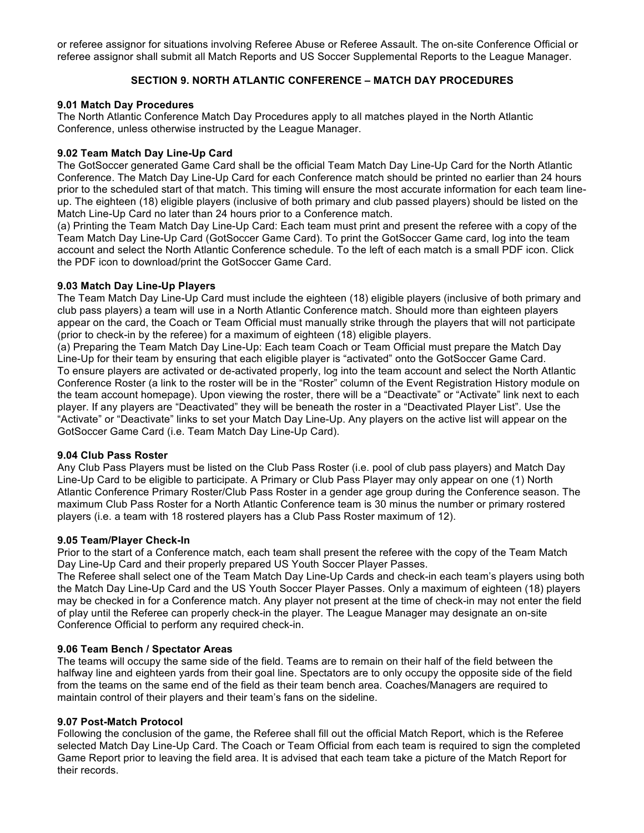or referee assignor for situations involving Referee Abuse or Referee Assault. The on-site Conference Official or referee assignor shall submit all Match Reports and US Soccer Supplemental Reports to the League Manager.

# **SECTION 9. NORTH ATLANTIC CONFERENCE – MATCH DAY PROCEDURES**

#### **9.01 Match Day Procedures**

The North Atlantic Conference Match Day Procedures apply to all matches played in the North Atlantic Conference, unless otherwise instructed by the League Manager.

## **9.02 Team Match Day Line-Up Card**

The GotSoccer generated Game Card shall be the official Team Match Day Line-Up Card for the North Atlantic Conference. The Match Day Line-Up Card for each Conference match should be printed no earlier than 24 hours prior to the scheduled start of that match. This timing will ensure the most accurate information for each team lineup. The eighteen (18) eligible players (inclusive of both primary and club passed players) should be listed on the Match Line-Up Card no later than 24 hours prior to a Conference match.

(a) Printing the Team Match Day Line-Up Card: Each team must print and present the referee with a copy of the Team Match Day Line-Up Card (GotSoccer Game Card). To print the GotSoccer Game card, log into the team account and select the North Atlantic Conference schedule. To the left of each match is a small PDF icon. Click the PDF icon to download/print the GotSoccer Game Card.

#### **9.03 Match Day Line-Up Players**

The Team Match Day Line-Up Card must include the eighteen (18) eligible players (inclusive of both primary and club pass players) a team will use in a North Atlantic Conference match. Should more than eighteen players appear on the card, the Coach or Team Official must manually strike through the players that will not participate (prior to check-in by the referee) for a maximum of eighteen (18) eligible players.

(a) Preparing the Team Match Day Line-Up: Each team Coach or Team Official must prepare the Match Day Line-Up for their team by ensuring that each eligible player is "activated" onto the GotSoccer Game Card. To ensure players are activated or de-activated properly, log into the team account and select the North Atlantic Conference Roster (a link to the roster will be in the "Roster" column of the Event Registration History module on the team account homepage). Upon viewing the roster, there will be a "Deactivate" or "Activate" link next to each player. If any players are "Deactivated" they will be beneath the roster in a "Deactivated Player List". Use the "Activate" or "Deactivate" links to set your Match Day Line-Up. Any players on the active list will appear on the GotSoccer Game Card (i.e. Team Match Day Line-Up Card).

## **9.04 Club Pass Roster**

Any Club Pass Players must be listed on the Club Pass Roster (i.e. pool of club pass players) and Match Day Line-Up Card to be eligible to participate. A Primary or Club Pass Player may only appear on one (1) North Atlantic Conference Primary Roster/Club Pass Roster in a gender age group during the Conference season. The maximum Club Pass Roster for a North Atlantic Conference team is 30 minus the number or primary rostered players (i.e. a team with 18 rostered players has a Club Pass Roster maximum of 12).

## **9.05 Team/Player Check-In**

Prior to the start of a Conference match, each team shall present the referee with the copy of the Team Match Day Line-Up Card and their properly prepared US Youth Soccer Player Passes.

The Referee shall select one of the Team Match Day Line-Up Cards and check-in each team's players using both the Match Day Line-Up Card and the US Youth Soccer Player Passes. Only a maximum of eighteen (18) players may be checked in for a Conference match. Any player not present at the time of check-in may not enter the field of play until the Referee can properly check-in the player. The League Manager may designate an on-site Conference Official to perform any required check-in.

## **9.06 Team Bench / Spectator Areas**

The teams will occupy the same side of the field. Teams are to remain on their half of the field between the halfway line and eighteen yards from their goal line. Spectators are to only occupy the opposite side of the field from the teams on the same end of the field as their team bench area. Coaches/Managers are required to maintain control of their players and their team's fans on the sideline.

## **9.07 Post-Match Protocol**

Following the conclusion of the game, the Referee shall fill out the official Match Report, which is the Referee selected Match Day Line-Up Card. The Coach or Team Official from each team is required to sign the completed Game Report prior to leaving the field area. It is advised that each team take a picture of the Match Report for their records.